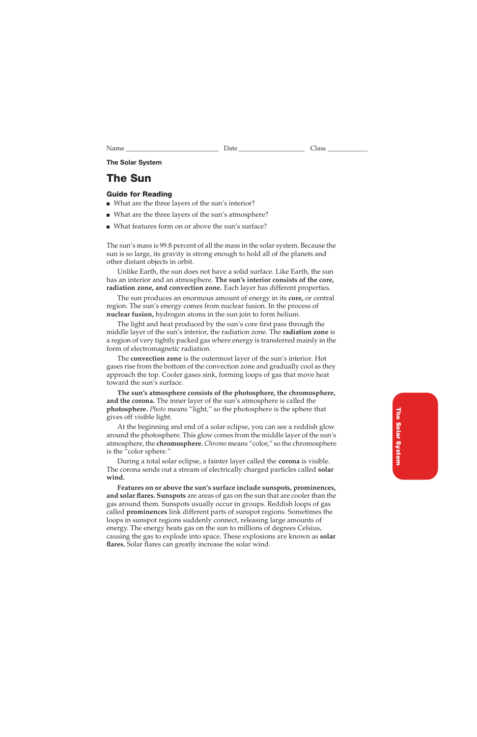#### **The Solar System**

## **The Sun**

#### **Guide for Reading**

- What are the three layers of the sun's interior?
- What are the three layers of the sun's atmosphere?
- What features form on or above the sun's surface?

The sun's mass is 99.8 percent of all the mass in the solar system. Because the sun is so large, its gravity is strong enough to hold all of the planets and other distant objects in orbit.

Unlike Earth, the sun does not have a solid surface. Like Earth, the sun has an interior and an atmosphere. **The sun's interior consists of the core, radiation zone, and convection zone.** Each layer has different properties.

The sun produces an enormous amount of energy in its **core,** or central region. The sun's energy comes from nuclear fusion. In the process of **nuclear fusion,** hydrogen atoms in the sun join to form helium.

The light and heat produced by the sun's core first pass through the middle layer of the sun's interior, the radiation zone. The **radiation zone** is a region of very tightly packed gas where energy is transferred mainly in the form of electromagnetic radiation.

The **convection zone** is the outermost layer of the sun's interior. Hot gases rise from the bottom of the convection zone and gradually cool as they approach the top. Cooler gases sink, forming loops of gas that move heat toward the sun's surface.

**The sun's atmosphere consists of the photosphere, the chromosphere, and the corona.** The inner layer of the sun's atmosphere is called the **photosphere.** *Photo* means "light," so the photosphere is the sphere that gives off visible light.

At the beginning and end of a solar eclipse, you can see a reddish glow around the photosphere. This glow comes from the middle layer of the sun's atmosphere, the **chromosphere.** *Chromo* means "color," so the chromosphere is the "color sphere."

During a total solar eclipse, a fainter layer called the **corona** is visible. The corona sends out a stream of electrically charged particles called **solar wind.**

**Features on or above the sun's surface include sunspots, prominences, and solar flares. Sunspots** are areas of gas on the sun that are cooler than the gas around them. Sunspots usually occur in groups. Reddish loops of gas called **prominences** link different parts of sunspot regions. Sometimes the loops in sunspot regions suddenly connect, releasing large amounts of energy. The energy heats gas on the sun to millions of degrees Celsius, causing the gas to explode into space. These explosions are known as **solar flares.** Solar flares can greatly increase the solar wind.